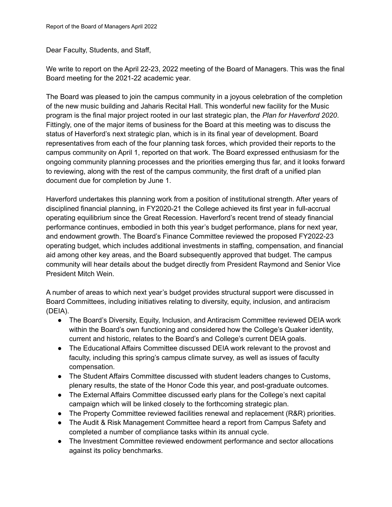Dear Faculty, Students, and Staff,

We write to report on the April 22-23, 2022 meeting of the Board of Managers. This was the final Board meeting for the 2021-22 academic year.

The Board was pleased to join the campus community in a joyous celebration of the completion of the new music building and Jaharis Recital Hall. This wonderful new facility for the Music program is the final major project rooted in our last strategic plan, the *Plan for Haverford 2020*. Fittingly, one of the major items of business for the Board at this meeting was to discuss the status of Haverford's next strategic plan, which is in its final year of development. Board representatives from each of the four planning task forces, which provided their reports to the campus community on April 1, reported on that work. The Board expressed enthusiasm for the ongoing community planning processes and the priorities emerging thus far, and it looks forward to reviewing, along with the rest of the campus community, the first draft of a unified plan document due for completion by June 1.

Haverford undertakes this planning work from a position of institutional strength. After years of disciplined financial planning, in FY2020-21 the College achieved its first year in full-accrual operating equilibrium since the Great Recession. Haverford's recent trend of steady financial performance continues, embodied in both this year's budget performance, plans for next year, and endowment growth. The Board's Finance Committee reviewed the proposed FY2022-23 operating budget, which includes additional investments in staffing, compensation, and financial aid among other key areas, and the Board subsequently approved that budget. The campus community will hear details about the budget directly from President Raymond and Senior Vice President Mitch Wein.

A number of areas to which next year's budget provides structural support were discussed in Board Committees, including initiatives relating to diversity, equity, inclusion, and antiracism (DEIA).

- The Board's Diversity, Equity, Inclusion, and Antiracism Committee reviewed DEIA work within the Board's own functioning and considered how the College's Quaker identity, current and historic, relates to the Board's and College's current DEIA goals.
- The Educational Affairs Committee discussed DEIA work relevant to the provost and faculty, including this spring's campus climate survey, as well as issues of faculty compensation.
- The Student Affairs Committee discussed with student leaders changes to Customs, plenary results, the state of the Honor Code this year, and post-graduate outcomes.
- The External Affairs Committee discussed early plans for the College's next capital campaign which will be linked closely to the forthcoming strategic plan.
- The Property Committee reviewed facilities renewal and replacement (R&R) priorities.
- The Audit & Risk Management Committee heard a report from Campus Safety and completed a number of compliance tasks within its annual cycle.
- The Investment Committee reviewed endowment performance and sector allocations against its policy benchmarks.